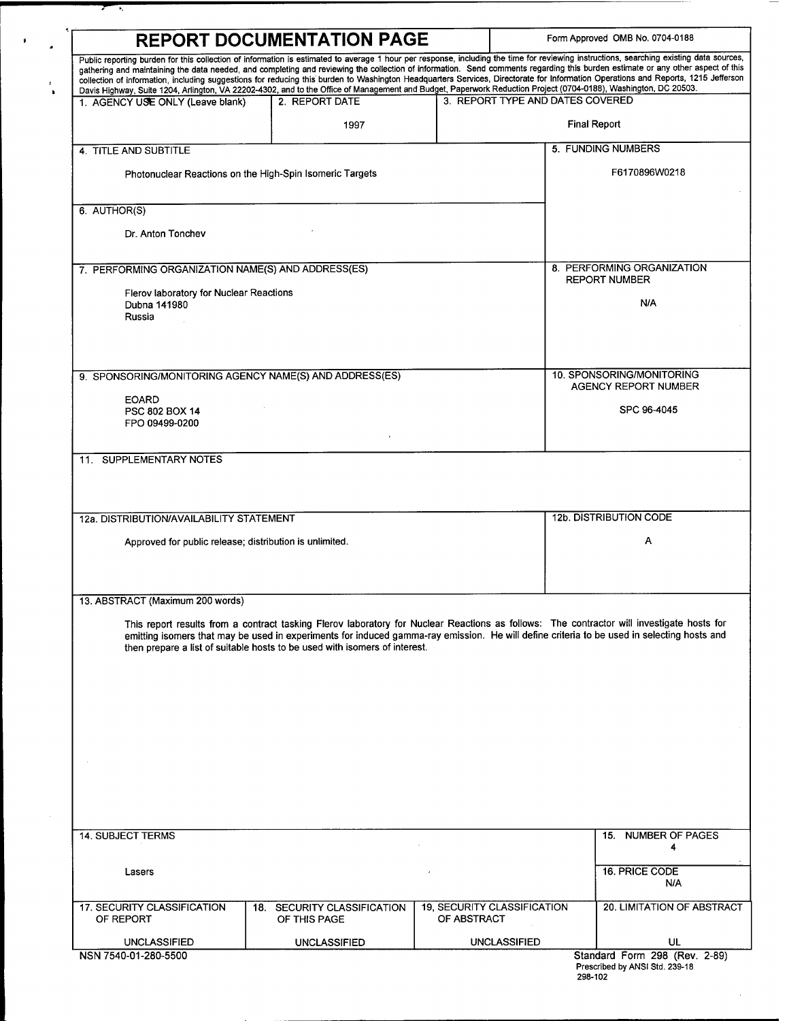| <b>REPORT DOCUMENTATION PAGE</b>                                        | Form Approved OMB No. 0704-0188                                            |                                                   |                                                                                                                                                                                                                                                                                                                                                                                                                                                                                                                                                                                                                                                                                                                                    |
|-------------------------------------------------------------------------|----------------------------------------------------------------------------|---------------------------------------------------|------------------------------------------------------------------------------------------------------------------------------------------------------------------------------------------------------------------------------------------------------------------------------------------------------------------------------------------------------------------------------------------------------------------------------------------------------------------------------------------------------------------------------------------------------------------------------------------------------------------------------------------------------------------------------------------------------------------------------------|
|                                                                         |                                                                            |                                                   | Public reporting burden for this collection of information is estimated to average 1 hour per response, including the time for reviewing instructions, searching existing data sources,<br>gathering and maintaining the data needed, and completing and reviewing the collection of information. Send comments regarding this burden estimate or any other aspect of this<br>collection of information, including suggestions for reducing this burden to Washington Headquarters Services, Directorate for Information Operations and Reports, 1215 Jefferson<br>Davis Highway, Suite 1204, Arlington, VA 22202-4302, and to the Office of Management and Budget, Paperwork Reduction Project (0704-0188), Washington, DC 20503. |
| 1. AGENCY USE ONLY (Leave blank)                                        | 2. REPORT DATE                                                             |                                                   | 3. REPORT TYPE AND DATES COVERED                                                                                                                                                                                                                                                                                                                                                                                                                                                                                                                                                                                                                                                                                                   |
|                                                                         | 1997                                                                       |                                                   | <b>Final Report</b>                                                                                                                                                                                                                                                                                                                                                                                                                                                                                                                                                                                                                                                                                                                |
| 4. TITLE AND SUBTITLE                                                   |                                                                            |                                                   | 5. FUNDING NUMBERS                                                                                                                                                                                                                                                                                                                                                                                                                                                                                                                                                                                                                                                                                                                 |
| Photonuclear Reactions on the High-Spin Isomeric Targets                |                                                                            |                                                   | F6170896W0218                                                                                                                                                                                                                                                                                                                                                                                                                                                                                                                                                                                                                                                                                                                      |
| 6. AUTHOR(S)                                                            |                                                                            |                                                   |                                                                                                                                                                                                                                                                                                                                                                                                                                                                                                                                                                                                                                                                                                                                    |
| Dr. Anton Tonchev                                                       |                                                                            |                                                   |                                                                                                                                                                                                                                                                                                                                                                                                                                                                                                                                                                                                                                                                                                                                    |
| 7. PERFORMING ORGANIZATION NAME(S) AND ADDRESS(ES)                      |                                                                            |                                                   | 8. PERFORMING ORGANIZATION<br><b>REPORT NUMBER</b>                                                                                                                                                                                                                                                                                                                                                                                                                                                                                                                                                                                                                                                                                 |
| Flerov laboratory for Nuclear Reactions<br>Dubna 141980                 | N/A                                                                        |                                                   |                                                                                                                                                                                                                                                                                                                                                                                                                                                                                                                                                                                                                                                                                                                                    |
| Russia                                                                  |                                                                            |                                                   |                                                                                                                                                                                                                                                                                                                                                                                                                                                                                                                                                                                                                                                                                                                                    |
|                                                                         |                                                                            |                                                   |                                                                                                                                                                                                                                                                                                                                                                                                                                                                                                                                                                                                                                                                                                                                    |
| 9. SPONSORING/MONITORING AGENCY NAME(S) AND ADDRESS(ES)<br><b>EOARD</b> | 10. SPONSORING/MONITORING<br><b>AGENCY REPORT NUMBER</b>                   |                                                   |                                                                                                                                                                                                                                                                                                                                                                                                                                                                                                                                                                                                                                                                                                                                    |
| PSC 802 BOX 14<br>FPO 09499-0200                                        | SPC 96-4045                                                                |                                                   |                                                                                                                                                                                                                                                                                                                                                                                                                                                                                                                                                                                                                                                                                                                                    |
| 11. SUPPLEMENTARY NOTES                                                 |                                                                            |                                                   |                                                                                                                                                                                                                                                                                                                                                                                                                                                                                                                                                                                                                                                                                                                                    |
| 12a. DISTRIBUTION/AVAILABILITY STATEMENT                                | 12b. DISTRIBUTION CODE                                                     |                                                   |                                                                                                                                                                                                                                                                                                                                                                                                                                                                                                                                                                                                                                                                                                                                    |
| Approved for public release; distribution is unlimited.                 |                                                                            |                                                   | Α                                                                                                                                                                                                                                                                                                                                                                                                                                                                                                                                                                                                                                                                                                                                  |
|                                                                         |                                                                            |                                                   |                                                                                                                                                                                                                                                                                                                                                                                                                                                                                                                                                                                                                                                                                                                                    |
| 13. ABSTRACT (Maximum 200 words)                                        |                                                                            |                                                   |                                                                                                                                                                                                                                                                                                                                                                                                                                                                                                                                                                                                                                                                                                                                    |
|                                                                         | then prepare a list of suitable hosts to be used with isomers of interest. |                                                   | This report results from a contract tasking Flerov laboratory for Nuclear Reactions as follows: The contractor will investigate hosts for<br>emitting isomers that may be used in experiments for induced gamma-ray emission. He will define criteria to be used in selecting hosts and                                                                                                                                                                                                                                                                                                                                                                                                                                            |
|                                                                         |                                                                            |                                                   |                                                                                                                                                                                                                                                                                                                                                                                                                                                                                                                                                                                                                                                                                                                                    |
|                                                                         |                                                                            |                                                   |                                                                                                                                                                                                                                                                                                                                                                                                                                                                                                                                                                                                                                                                                                                                    |
|                                                                         |                                                                            |                                                   |                                                                                                                                                                                                                                                                                                                                                                                                                                                                                                                                                                                                                                                                                                                                    |
|                                                                         |                                                                            |                                                   |                                                                                                                                                                                                                                                                                                                                                                                                                                                                                                                                                                                                                                                                                                                                    |
| 14. SUBJECT TERMS                                                       |                                                                            |                                                   | 15. NUMBER OF PAGES<br>4                                                                                                                                                                                                                                                                                                                                                                                                                                                                                                                                                                                                                                                                                                           |
| Lasers                                                                  |                                                                            |                                                   | 16. PRICE CODE<br>N/A                                                                                                                                                                                                                                                                                                                                                                                                                                                                                                                                                                                                                                                                                                              |
| 17. SECURITY CLASSIFICATION<br>OF REPORT                                | 18. SECURITY CLASSIFICATION<br>OF THIS PAGE                                | <b>19, SECURITY CLASSIFICATION</b><br>OF ABSTRACT | 20. LIMITATION OF ABSTRACT                                                                                                                                                                                                                                                                                                                                                                                                                                                                                                                                                                                                                                                                                                         |
| <b>UNCLASSIFIED</b>                                                     | <b>UNCLASSIFIED</b>                                                        | <b>UNCLASSIFIED</b>                               | <b>UL</b>                                                                                                                                                                                                                                                                                                                                                                                                                                                                                                                                                                                                                                                                                                                          |
| NSN 7540-01-280-5500                                                    |                                                                            |                                                   | Standard Form 298 (Rev. 2-89)                                                                                                                                                                                                                                                                                                                                                                                                                                                                                                                                                                                                                                                                                                      |

y τ

 $\epsilon_{\rm{max}}$ 

 $\frac{1}{\sqrt{2}}$ 

 $\mathcal{L}^{\mathcal{I}}$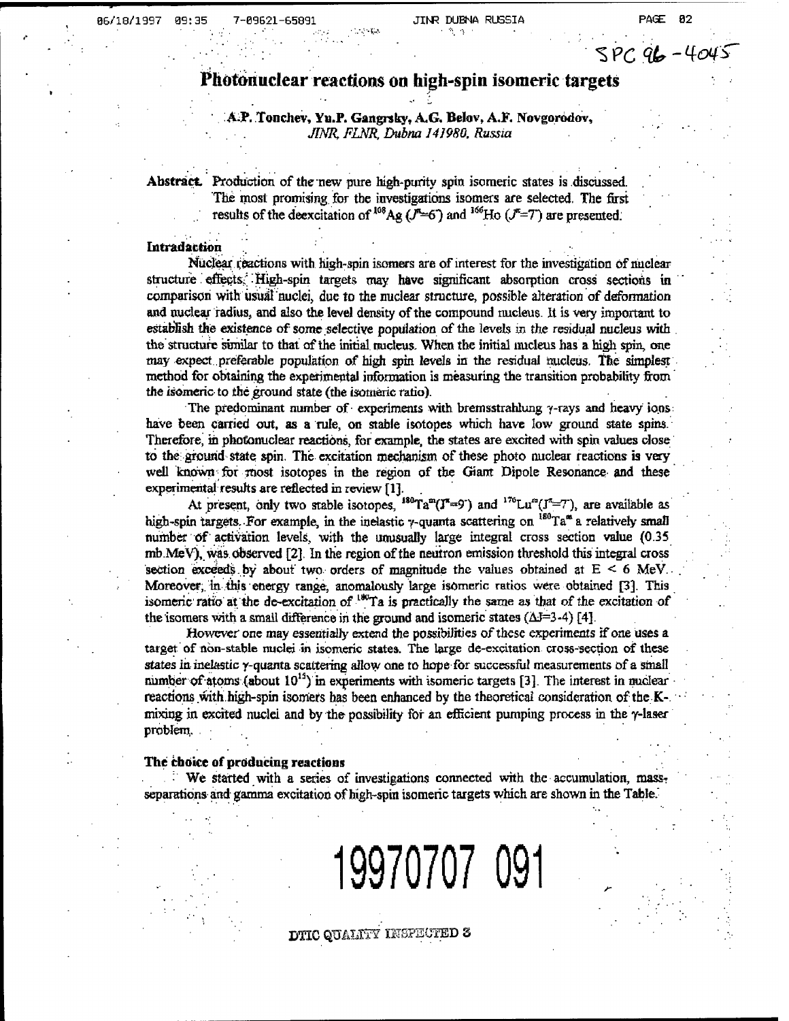$SPC96 - 4$ 

# 06/18/1997 09:35 7-09621-65891 **Photonuclcar** reactions on **high-spin** isomeric targets

# A.P. Tonchev, Yu.P. Gangrsky, A.G. Belov, A.F. Novgorodov, *JINR, FLNR, Dubna 141980. Russia*

Abstract. Production of the new pure high-purity spin isomeric states is discussed. The most promising for the investigations isomers are selected. The first results of the deexcitation of  $^{108}Ag$  ( $J^m=6$ ) and  $^{166}Ho$  ( $J^m=7$ ) are presented.

### **Intradaction**

'

Nuclear reactions with high-spin isomers are of interest for the investigation of nuclear structure effects. High-spin targets may have significant absorption cross sections in comparison with usual nuclei, due to the nuclear structure, possible alteration of deformation and nuclear radius, and also the level density of the compound nucleus. It is very important to establish the existence of some selective population of the levels in the residual nucleus with the structure similar to that of the initial nucleus. When the initial nucleus has a high spin, one may expect preferable population of high spin levels in the residual nucleus. The simplest method for obtaining the experimental information is measuring the transition probability from the isomeric to the ground state (the isomeric ratio).

The predominant number of experiments with bremsstrahlung  $\gamma$ -rays and heavy ions: have been carried out, as a rule, on stable isotopes which have low ground state spins. Therefore, in photonuclear reactions, for example, the states are excited with spin values close to the: ground state spin. The excitation mechanism of these photo nuclear reactions is very well known for most isotopes in the region of the Giant Dipole Resonance and these experimental results are reflected in review [1].

At present, only two stable isotopes,  $^{180}Ta^{m}(J^{m}=9^{-})$  and  $^{176}Lu^{m}(J^{m}=7^{-})$ , are available as high-spin targets. For example, in the inelastic y-quanta scattering on  $^{180}$ Ta<sup>\*</sup> a relatively small number of activation levels, with the unusually large integral cross section value (0.35 mb. MeV), was observed  $[2]$ . In the region of the neutron emission threshold this integral cross section exceeds by about two orders of magnitude the values obtained at  $E \le 6$  MeV. Moreover, in this energy range, anomalously large isomeric ratios were obtained [3]. This isomeric ratio at the de-excitation of  $180$ Ta is practically the same as that of the excitation of the isomers with a small difference in the ground and isomeric states  $(\Delta J=3-4)$  [4].

However one may essentially extend the possibilities of these experiments if one uses a target of non-stable nuclei in isomeric states. The large de-excitation cross-section of these states in inelastic y-quanta scattering allow one to hope for successful measurements of a small number of atoms (about  $10^{15}$ ) in experiments with isomeric targets [3]. The interest in nuclear reactions with.high-spin isomers has been enhanced by the theoretical consideration of the Kmixing in excited nuclei and by the possibility for an efficient pumping process in the y-laser problem. .

### The choice of producing reactions

• We started with a series of investigations connected with the accumulation, massseparations and gamma excitation of high-spin isomeric targets which are shown in the Table.

**19970707 091**

DTIC QUALITY INSPECTED 3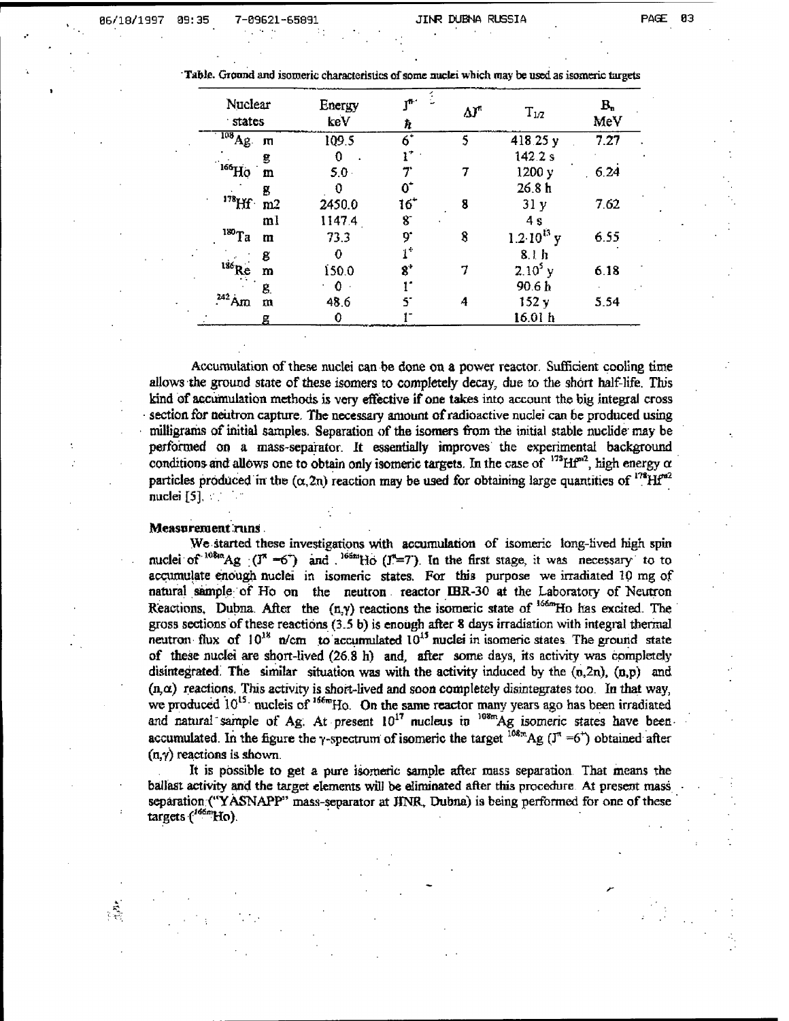06/18/1997 39:35 7-69621-65891 JIM\* DUENft RUSSIA PAGE 83

| Nuclear<br>states |                | Energy<br>keV | $\mathbf{T}^{\mathbf{R}+1}$<br>ħ | ۵ľ | $\rm T_{1/2}$         | $\mathbf{B}_{\mathbf{u}}$<br>MeV |
|-------------------|----------------|---------------|----------------------------------|----|-----------------------|----------------------------------|
| $^{108}$ Ag       | m              | 109.5         | $\overline{6}$                   | 5  | 418.25 y              | 7.27                             |
|                   | g              |               |                                  |    | 142.2 s               |                                  |
| $^{166}$ Ho       | m              | 5.0           |                                  |    | 1200 y                | 6.24                             |
|                   | 8              |               | 0'                               |    | 26.8h                 |                                  |
| $178$ Hf $\cdot$  | m <sub>2</sub> | 2450.0        | 16'                              | 8  | 31y                   | 7.62                             |
|                   | ml             | 1147.4        | 8                                |    | 4 s                   |                                  |
| $180$ Ta          | $\mathbf{m}$   | 73.3          | ð.                               | 8  | $1.2 \cdot 10^{13}$ y | 6.55                             |
|                   | g              |               |                                  |    | 8.1 h                 |                                  |
| 186R              | m              | 150.0         | $\mathbf{8}^*$                   |    | $2.10^{5}$ y          | 6.18                             |
|                   | 8.             |               |                                  |    | 90.6 <sub>h</sub>     |                                  |
|                   | m              | 48.6          |                                  | A  | 152y                  | 5.54                             |
|                   | g              | 0             |                                  |    | 16.01 h               |                                  |

Accumulation of these nuclei can be done on a power reactor. Sufficient cooling time allows the ground state of these isomers to completely decay, due to the short half-life. This kind of accumulation methods is very effective if one takes into account the big integral cross section for neutron capture. The necessary amount of radioactive nuclei can be produced using milligrams ofinitial samples. Separation of the isomers from the initial stable nuclide may be performed on a mass-separator. It essentially improves the experimental background conditions and allows one to obtain only isomeric targets. In the case of  $^{173}$  Hf<sup>o2</sup>, high energy  $\alpha$ particles produced in the ( $\alpha$ , 2n) reaction may be used for obtaining large quantities of  $^{178}$ Hf<sup>a2</sup> nuclei [5],

### Measurement runs

We started these investigations with accumulation of isomeric long-lived high spin nuclei of  $10^{8}$ <sup>ho8n</sup>Ag  $($ J<sup>\*</sup> =6<sup>-</sup>) and  $.$ <sup>165m</sup>Ho (J<sup>\*</sup>=7). In the first stage, it was necessary to to accumulate enough nuclei in isomeric states. For this purpose we irradiated 10 mg of natural sample of Ho on the neutron reactor IBR-30 at the Laboratory of Neutron Reactions, Dubna. After the  $(n,y)$  reactions the isomeric state of  $166m$ Ho has excited. The gross sections of these reactions  $(3.5 b)$  is enough after 8 days irradiation with integral thermal neutron flux of  $10^{18}$  n/cm to accumulated  $10^{15}$  nuclei in isomeric states. The ground state of these nuclei are short-lived (26,8 h) and, after some days, its activity was completely disintegrated. The similar situation was with the activity induced by the  $(n,2n)$ ,  $(n,p)$  and  $(n, \alpha)$  reactions. This activity is short-lived and soon completely disintegrates too. In that way, we produced  $10^{15}$ , nucleis of  $166m$ Ho. On the same reactor many years ago has been irradiated and natural sample of Ag. At present  $10^{17}$  nucleus in  $10^{8m}$ Ag isomeric states have beenaccumulated. In the figure the y-spectrum of isomeric the target  $108m$ Ag ( $J^{\pi} = 6^{+}$ ) obtained after  $(n, y)$  reactions is shown.

It is possible to get a pure isomeric sample after mass separation That means the ballast activity and the target elements will be eliminated after this procedure At present mass separation ("YASNAPP" mass-separator at JINR, Dubna) is being performed for one of these targets (<sup>166m</sup>Ho).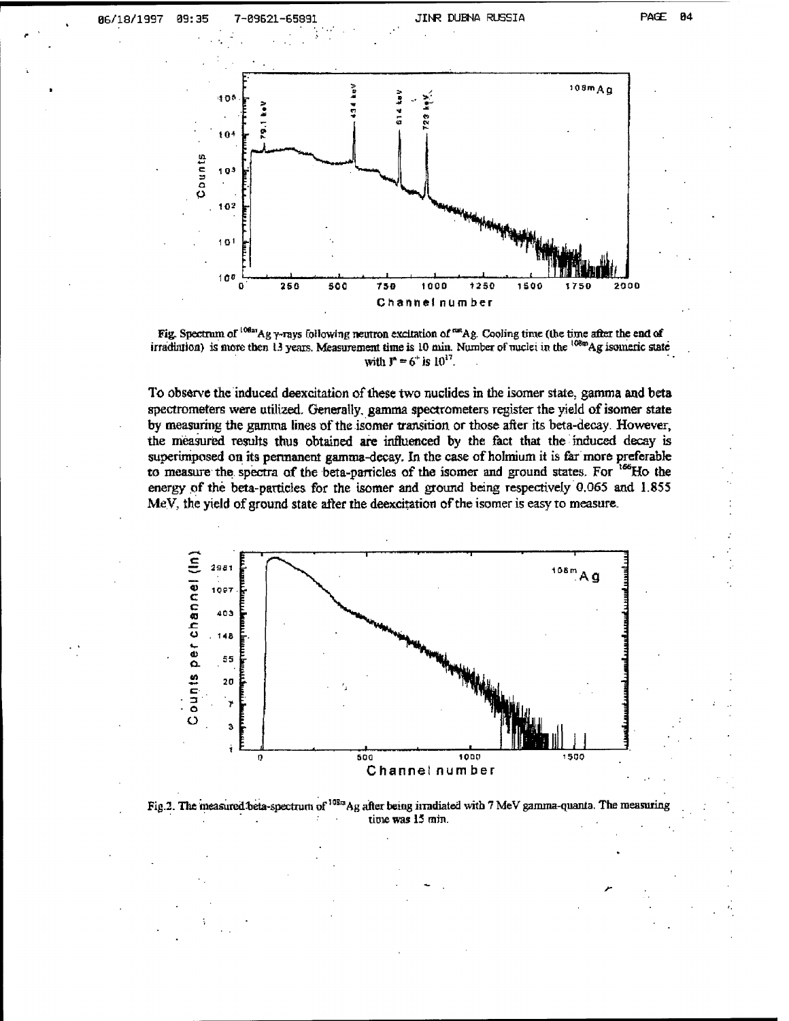86/18/1997 09:35 JINR DUBNA RUSSIA

7-89621-65891





To observe the induced deexcitation of these two nuclides in the isomer state, gamma and beta spectrometers were utilized. Generally, gamma spectrometers register the yield of isomer state by measuring the gamma lines of the isomer transition or those after its beta-decay. However, the measured results thus obtained are influenced by the fact that the induced decay is superimposed on its permanent gamma-decay. In the case of holmium it is far more preferable to measure the spectra of the beta-particles of the isomer and ground states. For <sup>166</sup>Ho the energy of the beta-particles for the isomer and ground being respectively 0.065 and 1.855 MeV, the yield of ground state after the deexcitation of the isomer is easy to measure.